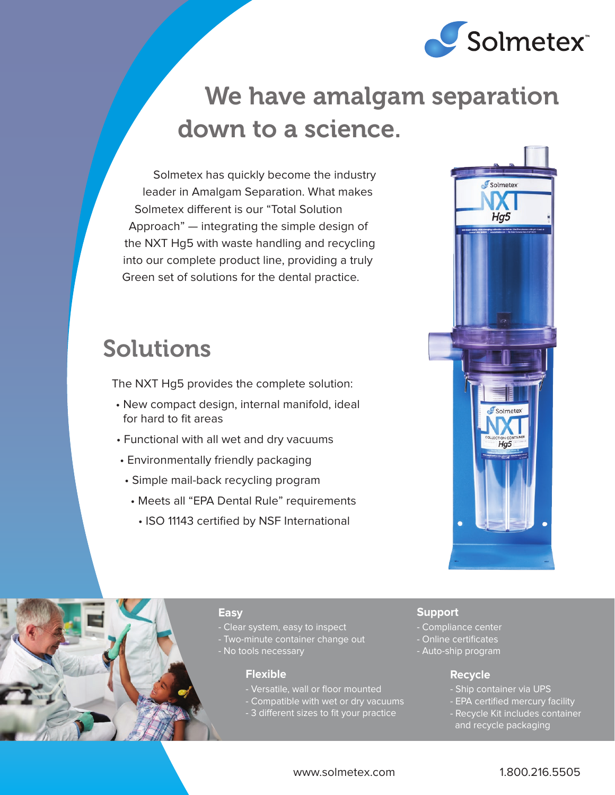

# We have amalgam separation down to a science.

Solmetex has quickly become the industry leader in Amalgam Separation. What makes Solmetex different is our "Total Solution Approach" — integrating the simple design of the NXT Hg5 with waste handling and recycling into our complete product line, providing a truly Green set of solutions for the dental practice.

# Solutions

The NXT Hg5 provides the complete solution:

- New compact design, internal manifold, ideal for hard to fit areas
- Functional with all wet and dry vacuums
- Environmentally friendly packaging
- Simple mail-back recycling program
- Meets all "EPA Dental Rule" requirements
	- ISO 11143 certified by NSF International





# **Easy**

- Clear system, easy to inspect
- Two-minute container change out
- No tools necessary

# **Flexible**

- Versatile, wall or floor mounted
- Compatible with wet or dry vacuums
- 3 different sizes to fit your practice

# **Support**

- Compliance center
- Online certificates
- Auto-ship program

# **Recycle**

- Ship container via UPS
- EPA certified mercury facility
- Recycle Kit includes container and recycle packaging